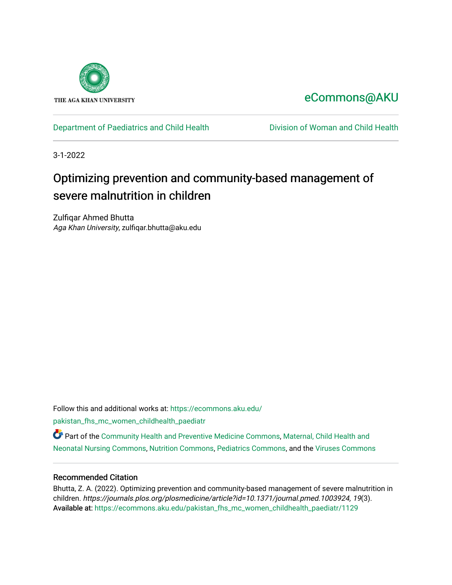

# [eCommons@AKU](https://ecommons.aku.edu/)

## [Department of Paediatrics and Child Health](https://ecommons.aku.edu/pakistan_fhs_mc_women_childhealth_paediatr) **Division of Woman and Child Health**

3-1-2022

# Optimizing prevention and community-based management of severe malnutrition in children

Zulfiqar Ahmed Bhutta Aga Khan University, zulfiqar.bhutta@aku.edu

Follow this and additional works at: [https://ecommons.aku.edu/](https://ecommons.aku.edu/pakistan_fhs_mc_women_childhealth_paediatr?utm_source=ecommons.aku.edu%2Fpakistan_fhs_mc_women_childhealth_paediatr%2F1129&utm_medium=PDF&utm_campaign=PDFCoverPages) [pakistan\\_fhs\\_mc\\_women\\_childhealth\\_paediatr](https://ecommons.aku.edu/pakistan_fhs_mc_women_childhealth_paediatr?utm_source=ecommons.aku.edu%2Fpakistan_fhs_mc_women_childhealth_paediatr%2F1129&utm_medium=PDF&utm_campaign=PDFCoverPages) 

Part of the [Community Health and Preventive Medicine Commons](http://network.bepress.com/hgg/discipline/744?utm_source=ecommons.aku.edu%2Fpakistan_fhs_mc_women_childhealth_paediatr%2F1129&utm_medium=PDF&utm_campaign=PDFCoverPages), Maternal, Child Health and [Neonatal Nursing Commons](http://network.bepress.com/hgg/discipline/721?utm_source=ecommons.aku.edu%2Fpakistan_fhs_mc_women_childhealth_paediatr%2F1129&utm_medium=PDF&utm_campaign=PDFCoverPages), [Nutrition Commons,](http://network.bepress.com/hgg/discipline/95?utm_source=ecommons.aku.edu%2Fpakistan_fhs_mc_women_childhealth_paediatr%2F1129&utm_medium=PDF&utm_campaign=PDFCoverPages) [Pediatrics Commons](http://network.bepress.com/hgg/discipline/700?utm_source=ecommons.aku.edu%2Fpakistan_fhs_mc_women_childhealth_paediatr%2F1129&utm_medium=PDF&utm_campaign=PDFCoverPages), and the [Viruses Commons](http://network.bepress.com/hgg/discipline/987?utm_source=ecommons.aku.edu%2Fpakistan_fhs_mc_women_childhealth_paediatr%2F1129&utm_medium=PDF&utm_campaign=PDFCoverPages)

### Recommended Citation

Bhutta, Z. A. (2022). Optimizing prevention and community-based management of severe malnutrition in children. https://journals.plos.org/plosmedicine/article?id=10.1371/journal.pmed.1003924, 19(3). Available at: [https://ecommons.aku.edu/pakistan\\_fhs\\_mc\\_women\\_childhealth\\_paediatr/1129](https://ecommons.aku.edu/pakistan_fhs_mc_women_childhealth_paediatr/1129)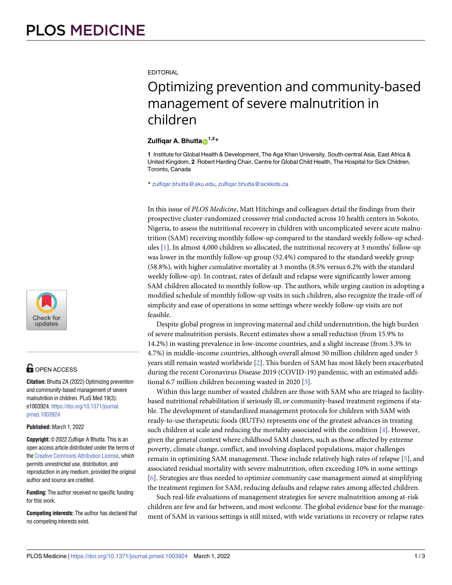

# **OPEN ACCESS**

**Citation:** Bhutta ZA (2022) Optimizing prevention and community-based management of severe malnutrition in children. PLoS Med 19(3): e1003924. [https://doi.org/10.1371/journal.](https://doi.org/10.1371/journal.pmed.1003924) [pmed.1003924](https://doi.org/10.1371/journal.pmed.1003924)

#### **Published:** March 1, 2022

**Copyright:** © 2022 Zulfiqar A Bhutta. This is an open access article distributed under the terms of the Creative [Commons](http://creativecommons.org/licenses/by/4.0/) Attribution License, which permits unrestricted use, distribution, and reproduction in any medium, provided the original author and source are credited.

**Funding:** The author received no specific funding for this work.

**Competing interests:** The author has declared that no competing interests exist.

<span id="page-1-0"></span>**EDITORIAL** 

# Optimizing prevention and community-based management of severe malnutrition in children

### **Zulfigar A. Bhutta**<sup>1,2</sup>**\***

**1** Institute for Global Health & Development, The Aga Khan University, South-central Asia, East Africa & United Kingdom, **2** Robert Harding Chair, Centre for Global Child Health, The Hospital for Sick Children, Toronto, Canada

\* zulfiqar.bhutta@aku.edu, zulfiqar.bhutta@sickkids.ca

In this issue of *PLOS Medicine*, Matt Hitchings and colleagues detail the findings from their prospective cluster-randomized crossover trial conducted across 10 health centers in Sokoto, Nigeria, to assess the nutritional recovery in children with uncomplicated severe acute malnutrition (SAM) receiving monthly follow-up compared to the standard weekly follow-up schedules [\[1\]](#page-2-0). In almost 4,000 children so allocated, the nutritional recovery at 3 months' follow-up was lower in the monthly follow-up group (52.4%) compared to the standard weekly group (58.8%), with higher cumulative mortality at 3 months (8.5% versus 6.2% with the standard weekly follow-up). In contrast, rates of default and relapse were significantly lower among SAM children allocated to monthly follow-up. The authors, while urging caution in adopting a modified schedule of monthly follow-up visits in such children, also recognize the trade-off of simplicity and ease of operations in some settings where weekly follow-up visits are not feasible.

Despite global progress in improving maternal and child undernutrition, the high burden of severe malnutrition persists. Recent estimates show a small reduction (from 15.9% to 14.2%) in wasting prevalence in low-income countries, and a slight increase (from 3.3% to 4.7%) in middle-income countries, although overall almost 50 million children aged under 5 years still remain wasted worldwide [\[2](#page-2-0)]. This burden of SAM has most likely been exacerbated during the recent Coronavirus Disease 2019 (COVID-19) pandemic, with an estimated additional 6.7 million children becoming wasted in 2020 [\[3\]](#page-3-0).

Within this large number of wasted children are those with SAM who are triaged to facilitybased nutritional rehabilitation if seriously ill, or community-based treatment regimens if stable. The development of standardized management protocols for children with SAM with ready-to-use therapeutic foods (RUTFs) represents one of the greatest advances in treating such children at scale and reducing the mortality associated with the condition [\[4](#page-3-0)]. However, given the general context where childhood SAM clusters, such as those affected by extreme poverty, climate change, conflict, and involving displaced populations, major challenges remain in optimizing SAM management. These include relatively high rates of relapse [\[5\]](#page-3-0), and associated residual mortality with severe malnutrition, often exceeding 10% in some settings [\[6](#page-3-0)]. Strategies are thus needed to optimize community case management aimed at simplifying the treatment regimen for SAM, reducing defaults and relapse rates among affected children.

Such real-life evaluations of management strategies for severe malnutrition among at-risk children are few and far between, and most welcome. The global evidence base for the management of SAM in various settings is still mixed, with wide variations in recovery or relapse rates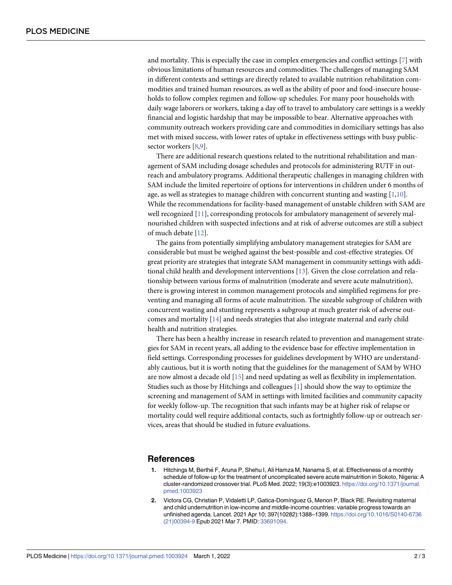<span id="page-2-0"></span>and mortality. This is especially the case in complex emergencies and conflict settings [\[7\]](#page-3-0) with obvious limitations of human resources and commodities. The challenges of managing SAM in different contexts and settings are directly related to available nutrition rehabilitation commodities and trained human resources, as well as the ability of poor and food-insecure households to follow complex regimen and follow-up schedules. For many poor households with daily wage laborers or workers, taking a day off to travel to ambulatory care settings is a weekly financial and logistic hardship that may be impossible to bear. Alternative approaches with community outreach workers providing care and commodities in domiciliary settings has also met with mixed success, with lower rates of uptake in effectiveness settings with busy publicsector workers [[8,9\]](#page-3-0).

There are additional research questions related to the nutritional rehabilitation and management of SAM including dosage schedules and protocols for administering RUTF in outreach and ambulatory programs. Additional therapeutic challenges in managing children with SAM include the limited repertoire of options for interventions in children under 6 months of age, as well as strategies to manage children with concurrent stunting and wasting  $[1,10]$  $[1,10]$ . While the recommendations for facility-based management of unstable children with SAM are well recognized [[11](#page-3-0)], corresponding protocols for ambulatory management of severely malnourished children with suspected infections and at risk of adverse outcomes are still a subject of much debate [\[12\]](#page-3-0).

The gains from potentially simplifying ambulatory management strategies for SAM are considerable but must be weighed against the best-possible and cost-effective strategies. Of great priority are strategies that integrate SAM management in community settings with additional child health and development interventions [\[13\]](#page-3-0). Given the close correlation and relationship between various forms of malnutrition (moderate and severe acute malnutrition), there is growing interest in common management protocols and simplified regimens for preventing and managing all forms of acute malnutrition. The sizeable subgroup of children with concurrent wasting and stunting represents a subgroup at much greater risk of adverse outcomes and mortality [\[14\]](#page-3-0) and needs strategies that also integrate maternal and early child health and nutrition strategies.

There has been a healthy increase in research related to prevention and management strategies for SAM in recent years, all adding to the evidence base for effective implementation in field settings. Corresponding processes for guidelines development by WHO are understandably cautious, but it is worth noting that the guidelines for the management of SAM by WHO are now almost a decade old [[15](#page-3-0)] and need updating as well as flexibility in implementation. Studies such as those by Hitchings and colleagues [1] should show the way to optimize the screening and management of SAM in settings with limited facilities and community capacity for weekly follow-up. The recognition that such infants may be at higher risk of relapse or mortality could well require additional contacts, such as fortnightly follow-up or outreach services, areas that should be studied in future evaluations.

### **References**

- **1.** Hitchings M, Berthé F, Aruna P, Shehu I, Ali Hamza M, Nanama S, et al. Effectiveness of a monthly schedule of follow-up for the treatment of uncomplicated severe acute malnutrition in Sokoto, Nigeria: A cluster-randomized crossover trial. PLoS Med. 2022; 19(3):e1003923. [https://doi.org/10.1371/journal.](https://doi.org/10.1371/journal.pmed.1003923) [pmed.1003923](https://doi.org/10.1371/journal.pmed.1003923)
- **[2](#page-1-0).** Victora CG, Christian P, Vidaletti LP, Gatica-Domı´nguez G, Menon P, Black RE. Revisiting maternal and child undernutrition in low-income and middle-income countries: variable progress towards an unfinished agenda. Lancet. 2021 Apr 10; 397(10282):1388–1399. [https://doi.org/10.1016/S0140-6736](https://doi.org/10.1016/S0140-6736%2821%2900394-9) [\(21\)00394-9](https://doi.org/10.1016/S0140-6736%2821%2900394-9) Epub 2021 Mar 7. PMID: [33691094.](http://www.ncbi.nlm.nih.gov/pubmed/33691094)